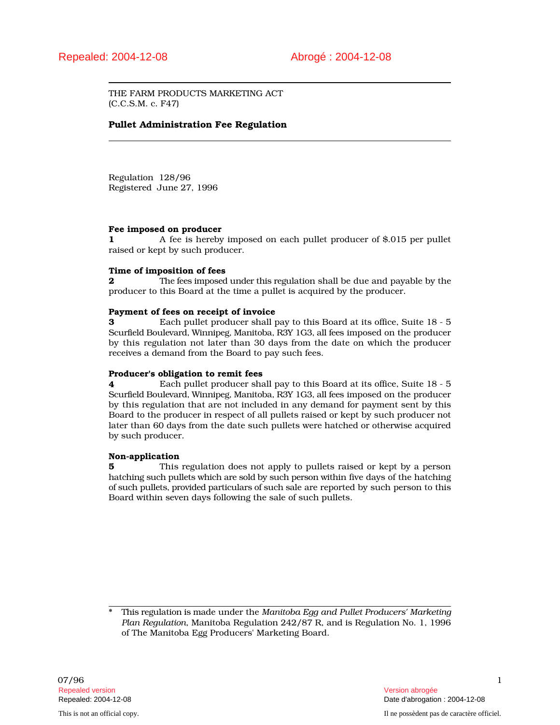THE FARM PRODUCTS MARKETING ACT (C.C.S.M. c. F47)

# Pullet Administration Fee Regulation

Regulation 128/96 Registered June 27, 1996

### Fee imposed on producer

1 A fee is hereby imposed on each pullet producer of \$.015 per pullet raised or kept by such producer.

## Time of imposition of fees

**2** The fees imposed under this regulation shall be due and payable by the producer to this Board at the time a pullet is acquired by the producer.

### Payment of fees on receipt of invoice

3 Each pullet producer shall pay to this Board at its office, Suite 18 - 5 Scurfield Boulevard, Winnipeg, Manitoba, R3Y 1G3, all fees imposed on the producer by this regulation not later than 30 days from the date on which the producer receives a demand from the Board to pay such fees.

#### Producer's obligation to remit fees

4 Each pullet producer shall pay to this Board at its office, Suite 18 - 5 Scurfield Boulevard, Winnipeg, Manitoba, R3Y 1G3, all fees imposed on the producer by this regulation that are not included in any demand for payment sent by this Board to the producer in respect of all pullets raised or kept by such producer not later than 60 days from the date such pullets were hatched or otherwise acquired by such producer.

#### Non-application

5 This regulation does not apply to pullets raised or kept by a person hatching such pullets which are sold by such person within five days of the hatching of such pullets, provided particulars of such sale are reported by such person to this Board within seven days following the sale of such pullets.

\* This regulation is made under the *Manitoba Egg and Pullet Producers' Marketing Plan Regulation*, Manitoba Regulation 242/87 R, and is Regulation No. 1, 1996 of The Manitoba Egg Producers' Marketing Board.

Repealed: 2004-12-08 Date d'abrogation : 2004-12-08